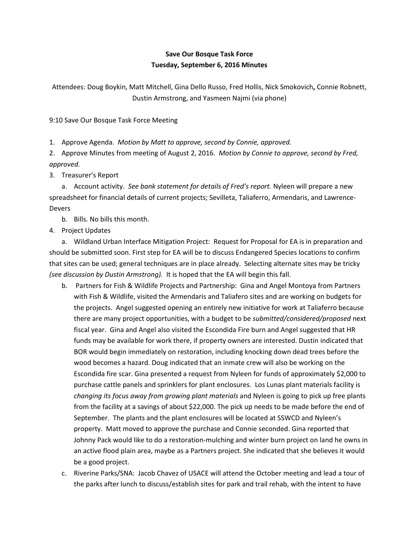## **Save Our Bosque Task Force Tuesday, September 6, 2016 Minutes**

Attendees: Doug Boykin, Matt Mitchell, Gina Dello Russo, Fred Hollis, Nick Smokovich**,** Connie Robnett, Dustin Armstrong, and Yasmeen Najmi (via phone)

9:10 Save Our Bosque Task Force Meeting

1. Approve Agenda. *Motion by Matt to approve, second by Connie, approved.*

2. Approve Minutes from meeting of August 2, 2016. *Motion by Connie to approve, second by Fred, approved.*

3. Treasurer's Report

a. Account activity. *See bank statement for details of Fred's report.* Nyleen will prepare a new spreadsheet for financial details of current projects; Sevilleta, Taliaferro, Armendaris, and Lawrence-Devers

b. Bills. No bills this month.

4. Project Updates

a. Wildland Urban Interface Mitigation Project: Request for Proposal for EA is in preparation and should be submitted soon. First step for EA will be to discuss Endangered Species locations to confirm that sites can be used; general techniques are in place already. Selecting alternate sites may be tricky *(see discussion by Dustin Armstrong).* It is hoped that the EA will begin this fall.

- b. Partners for Fish & Wildlife Projects and Partnership: Gina and Angel Montoya from Partners with Fish & Wildlife, visited the Armendaris and Taliafero sites and are working on budgets for the projects. Angel suggested opening an entirely new initiative for work at Taliaferro because there are many project opportunities, with a budget to be *submitted/considered/proposed* next fiscal year. Gina and Angel also visited the Escondida Fire burn and Angel suggested that HR funds may be available for work there, if property owners are interested. Dustin indicated that BOR would begin immediately on restoration, including knocking down dead trees before the wood becomes a hazard. Doug indicated that an inmate crew will also be working on the Escondida fire scar. Gina presented a request from Nyleen for funds of approximately \$2,000 to purchase cattle panels and sprinklers for plant enclosures. Los Lunas plant materials facility is *changing its focus away from growing plant materials* and Nyleen is going to pick up free plants from the facility at a savings of about \$22,000. The pick up needs to be made before the end of September. The plants and the plant enclosures will be located at SSWCD and Nyleen's property. Matt moved to approve the purchase and Connie seconded. Gina reported that Johnny Pack would like to do a restoration-mulching and winter burn project on land he owns in an active flood plain area, maybe as a Partners project. She indicated that she believes it would be a good project.
- c. Riverine Parks/SNA: Jacob Chavez of USACE will attend the October meeting and lead a tour of the parks after lunch to discuss/establish sites for park and trail rehab, with the intent to have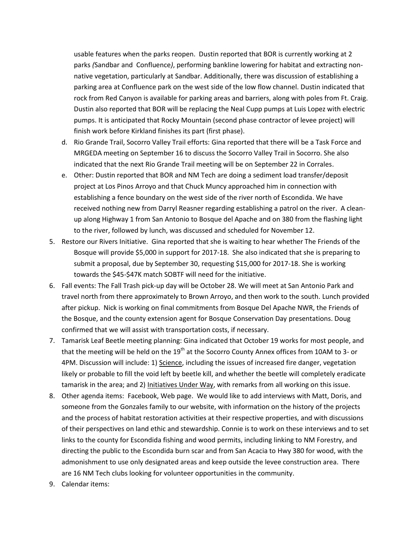usable features when the parks reopen. Dustin reported that BOR is currently working at 2 parks *(*Sandbar and Confluence*)*, performing bankline lowering for habitat and extracting nonnative vegetation, particularly at Sandbar. Additionally, there was discussion of establishing a parking area at Confluence park on the west side of the low flow channel. Dustin indicated that rock from Red Canyon is available for parking areas and barriers, along with poles from Ft. Craig. Dustin also reported that BOR will be replacing the Neal Cupp pumps at Luis Lopez with electric pumps. It is anticipated that Rocky Mountain (second phase contractor of levee project) will finish work before Kirkland finishes its part (first phase).

- d. Rio Grande Trail, Socorro Valley Trail efforts: Gina reported that there will be a Task Force and MRGEDA meeting on September 16 to discuss the Socorro Valley Trail in Socorro. She also indicated that the next Rio Grande Trail meeting will be on September 22 in Corrales.
- e. Other: Dustin reported that BOR and NM Tech are doing a sediment load transfer/deposit project at Los Pinos Arroyo and that Chuck Muncy approached him in connection with establishing a fence boundary on the west side of the river north of Escondida. We have received nothing new from Darryl Reasner regarding establishing a patrol on the river. A cleanup along Highway 1 from San Antonio to Bosque del Apache and on 380 from the flashing light to the river, followed by lunch, was discussed and scheduled for November 12.
- 5. Restore our Rivers Initiative. Gina reported that she is waiting to hear whether The Friends of the Bosque will provide \$5,000 in support for 2017-18. She also indicated that she is preparing to submit a proposal, due by September 30, requesting \$15,000 for 2017-18. She is working towards the \$45-\$47K match SOBTF will need for the initiative.
- 6. Fall events: The Fall Trash pick-up day will be October 28. We will meet at San Antonio Park and travel north from there approximately to Brown Arroyo, and then work to the south. Lunch provided after pickup. Nick is working on final commitments from Bosque Del Apache NWR, the Friends of the Bosque, and the county extension agent for Bosque Conservation Day presentations. Doug confirmed that we will assist with transportation costs, if necessary.
- 7. Tamarisk Leaf Beetle meeting planning: Gina indicated that October 19 works for most people, and that the meeting will be held on the 19<sup>th</sup> at the Socorro County Annex offices from 10AM to 3- or 4PM. Discussion will include: 1) Science, including the issues of increased fire danger, vegetation likely or probable to fill the void left by beetle kill, and whether the beetle will completely eradicate tamarisk in the area; and 2) Initiatives Under Way, with remarks from all working on this issue.
- 8. Other agenda items: Facebook, Web page. We would like to add interviews with Matt, Doris, and someone from the Gonzales family to our website, with information on the history of the projects and the process of habitat restoration activities at their respective properties, and with discussions of their perspectives on land ethic and stewardship. Connie is to work on these interviews and to set links to the county for Escondida fishing and wood permits, including linking to NM Forestry, and directing the public to the Escondida burn scar and from San Acacia to Hwy 380 for wood, with the admonishment to use only designated areas and keep outside the levee construction area. There are 16 NM Tech clubs looking for volunteer opportunities in the community.
- 9. Calendar items: